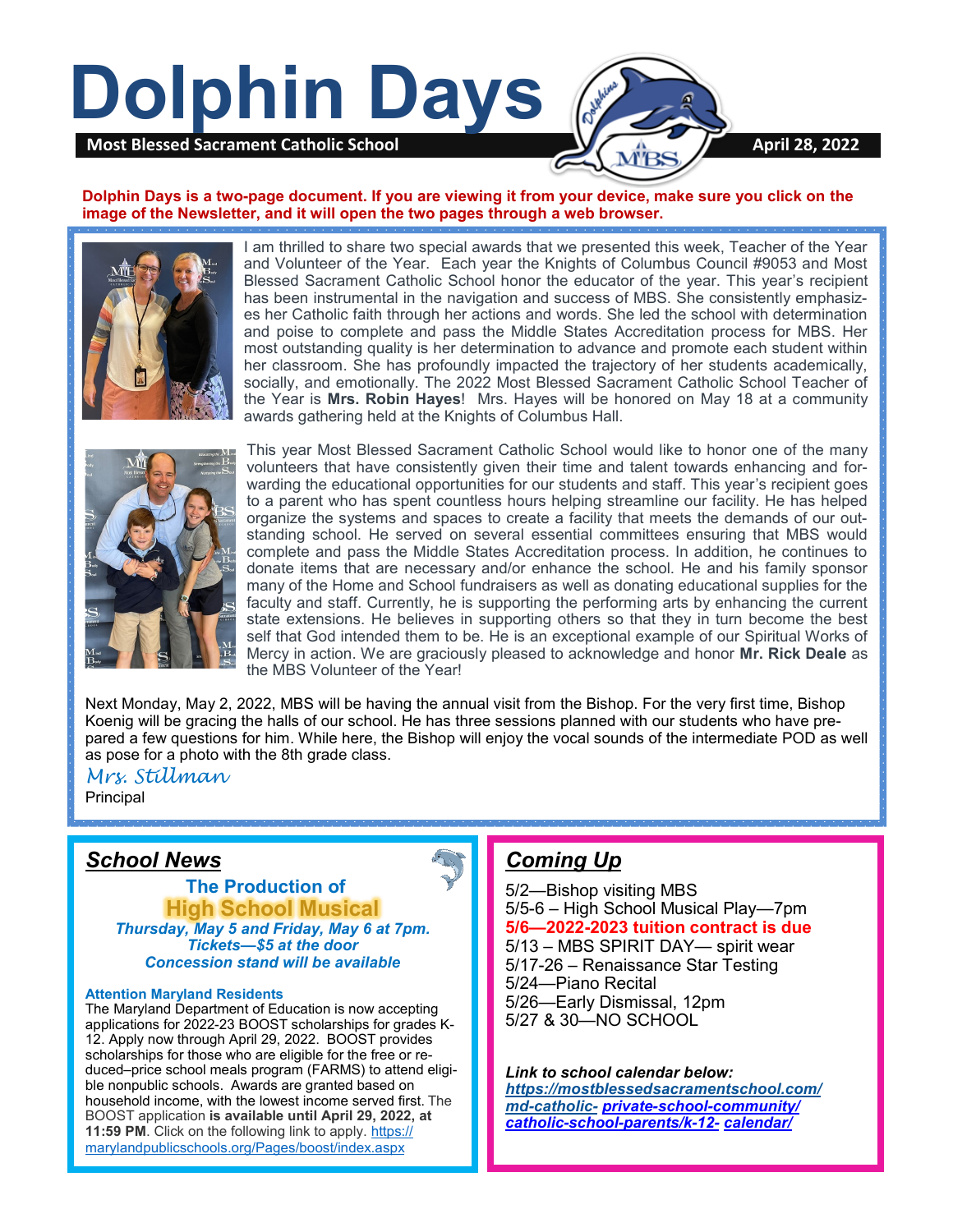

#### **Dolphin Days is a two-page document. If you are viewing it from your device, make sure you click on the image of the Newsletter, and it will open the two pages through a web browser.**



I am thrilled to share two special awards that we presented this week, Teacher of the Year and Volunteer of the Year. Each year the Knights of Columbus Council #9053 and Most Blessed Sacrament Catholic School honor the educator of the year. This year's recipient has been instrumental in the navigation and success of MBS. She consistently emphasizes her Catholic faith through her actions and words. She led the school with determination and poise to complete and pass the Middle States Accreditation process for MBS. Her most outstanding quality is her determination to advance and promote each student within her classroom. She has profoundly impacted the trajectory of her students academically, socially, and emotionally. The 2022 Most Blessed Sacrament Catholic School Teacher of the Year is **Mrs. Robin Hayes**! Mrs. Hayes will be honored on May 18 at a community awards gathering held at the Knights of Columbus Hall.



This year Most Blessed Sacrament Catholic School would like to honor one of the many volunteers that have consistently given their time and talent towards enhancing and forwarding the educational opportunities for our students and staff. This year's recipient goes to a parent who has spent countless hours helping streamline our facility. He has helped organize the systems and spaces to create a facility that meets the demands of our outstanding school. He served on several essential committees ensuring that MBS would complete and pass the Middle States Accreditation process. In addition, he continues to donate items that are necessary and/or enhance the school. He and his family sponsor many of the Home and School fundraisers as well as donating educational supplies for the faculty and staff. Currently, he is supporting the performing arts by enhancing the current state extensions. He believes in supporting others so that they in turn become the best self that God intended them to be. He is an exceptional example of our Spiritual Works of Mercy in action. We are graciously pleased to acknowledge and honor **Mr. Rick Deale** as the MBS Volunteer of the Year!

Next Monday, May 2, 2022, MBS will be having the annual visit from the Bishop. For the very first time, Bishop Koenig will be gracing the halls of our school. He has three sessions planned with our students who have prepared a few questions for him. While here, the Bishop will enjoy the vocal sounds of the intermediate POD as well as pose for a photo with the 8th grade class.

*Mrs. Stillman* Principal

## *School News*

 **The Production of High School Musical**  *Thursday, May 5 and Friday, May 6 at 7pm. Tickets—\$5 at the door Concession stand will be available*

#### **Attention Maryland Residents**

The Maryland Department of Education is now accepting applications for 2022-23 BOOST scholarships for grades K-12. Apply now through April 29, 2022. BOOST provides scholarships for those who are eligible for the free or reduced–price school meals program (FARMS) to attend eligible nonpublic schools. Awards are granted based on household income, with the lowest income served first. The BOOST application **is available until April 29, 2022, at 11:59 PM**. Click on the following link to apply. [https://](https://marylandpublicschools.org/Pages/boost/index.aspx) [marylandpublicschools.org/Pages/boost/index.aspx](https://marylandpublicschools.org/Pages/boost/index.aspx)

## *Coming Up*

5/2—Bishop visiting MBS 5/5-6 – High School Musical Play—7pm **5/6—2022-2023 tuition contract is due** 5/13 – MBS SPIRIT DAY— spirit wear 5/17-26 – Renaissance Star Testing 5/24—Piano Recital 5/26—Early Dismissal, 12pm 5/27 & 30—NO SCHOOL

#### *Link to school calendar below:*

*[https://mostblessedsacramentschool.com/](https://mostblessedsacramentschool.com/md-catholic-) md-[catholic](https://mostblessedsacramentschool.com/md-catholic-)- private-school-[community/](https://mostblessedsacramentschool.com/md-catholic-private-school-community/catholic-school-parents/k-12-calendar/) catholic-school-[parents/k](https://mostblessedsacramentschool.com/md-catholic-private-school-community/catholic-school-parents/k-12-calendar/)-12- [calendar/](https://mostblessedsacramentschool.com/md-catholic-private-school-community/catholic-school-parents/k-12-calendar/)*